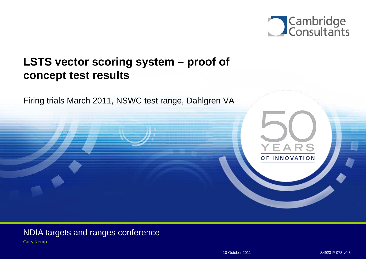

**Paste an image over the circle and use 'Send Backward' tool 3 times VEADS frame d SE INNOVATION is required.**

# **LSTS vector scoring system – proof of concept test results**

Firing trials March 2011, NSWC test range, Dahlgren VA

NDIA targets and ranges conference Gary Kemp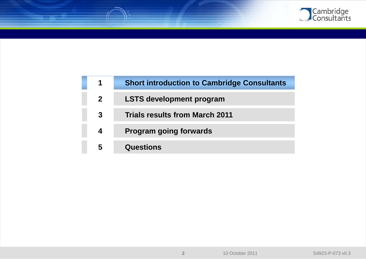

| 1              | <b>Short introduction to Cambridge Consultants</b> |
|----------------|----------------------------------------------------|
| $\overline{2}$ | <b>LSTS development program</b>                    |
| 3              | <b>Trials results from March 2011</b>              |
| 4              | <b>Program going forwards</b>                      |
| 5              | <b>Questions</b>                                   |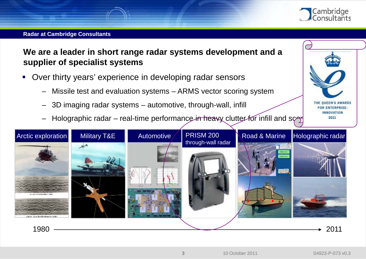

THE QUEEN'S AWARDS **FOR ENTERPRISE: INNOVATION** 2011

#### **Radar at Cambridge Consultants**

**We are a leader in short range radar systems development and a supplier of specialist systems**

- Over thirty years' experience in developing radar sensors
	- Missile test and evaluation systems ARMS vector scoring system
	- 3D imaging radar systems automotive, through-wall, infill
	- Holographic radar real-time performance in heavy clutter for infill and score

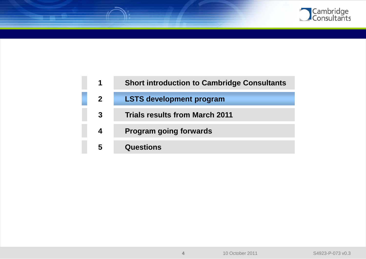

| 1            | <b>Short introduction to Cambridge Consultants</b> |
|--------------|----------------------------------------------------|
| $\mathbf{2}$ | <b>LSTS development program</b>                    |
| 3            | <b>Trials results from March 2011</b>              |
| 4            | <b>Program going forwards</b>                      |
| 5            | <b>Questions</b>                                   |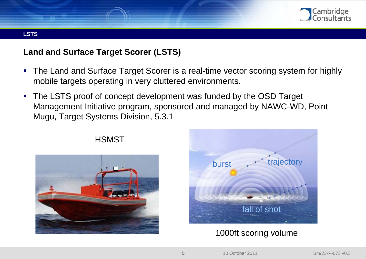

#### **LSTS**

# **Land and Surface Target Scorer (LSTS)**

- The Land and Surface Target Scorer is a real-time vector scoring system for highly mobile targets operating in very cluttered environments.
- The LSTS proof of concept development was funded by the OSD Target Management Initiative program, sponsored and managed by NAWC-WD, Point Mugu, Target Systems Division, 5.3.1



# burst fall of shot trajectory

# 1000ft scoring volume

## **HSMST**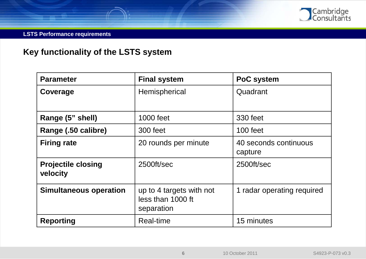

#### **LSTS Performance requirements**

# **Key functionality of the LSTS system**

| <b>Parameter</b>                      | <b>Final system</b>                                         | PoC system                       |
|---------------------------------------|-------------------------------------------------------------|----------------------------------|
| Coverage                              | Hemispherical                                               | Quadrant                         |
| Range (5" shell)                      | 1000 feet                                                   | 330 feet                         |
| Range (.50 calibre)                   | 300 feet                                                    | 100 feet                         |
| <b>Firing rate</b>                    | 20 rounds per minute                                        | 40 seconds continuous<br>capture |
| <b>Projectile closing</b><br>velocity | 2500ft/sec                                                  | 2500ft/sec                       |
| <b>Simultaneous operation</b>         | up to 4 targets with not<br>less than 1000 ft<br>separation | 1 radar operating required       |
| <b>Reporting</b>                      | Real-time                                                   | 15 minutes                       |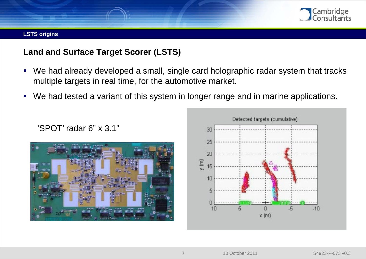

#### **LSTS origins**

# **Land and Surface Target Scorer (LSTS)**

- We had already developed a small, single card holographic radar system that tracks multiple targets in real time, for the automotive market.
- We had tested a variant of this system in longer range and in marine applications.



'SPOT' radar 6" x 3.1"

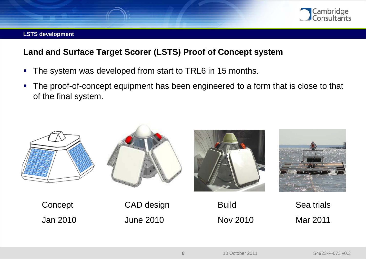

#### **LSTS development**

# **Land and Surface Target Scorer (LSTS) Proof of Concept system**

- The system was developed from start to TRL6 in 15 months.
- The proof-of-concept equipment has been engineered to a form that is close to that of the final system.



Jan 2010

June 2010

Nov 2010

Mar 2011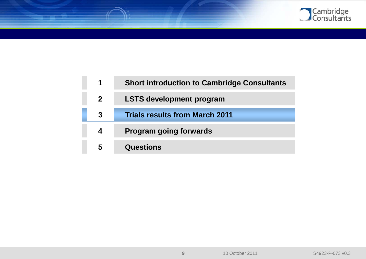

| 1              | <b>Short introduction to Cambridge Consultants</b> |
|----------------|----------------------------------------------------|
| 2 <sup>1</sup> | <b>LSTS development program</b>                    |
| 3              | <b>Trials results from March 2011</b>              |
| 4              | <b>Program going forwards</b>                      |
| 5              | <b>Questions</b>                                   |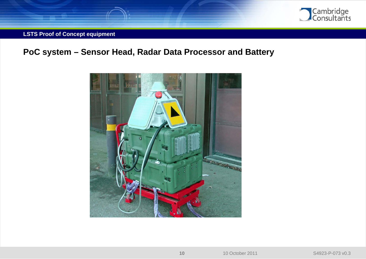

#### **LSTS Proof of Concept equipment**

# **PoC system – Sensor Head, Radar Data Processor and Battery**

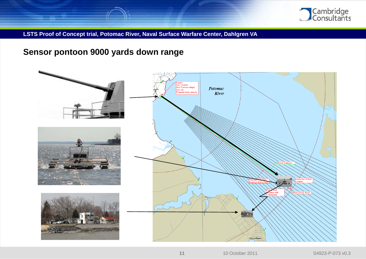

**LSTS Proof of Concept trial, Potomac River, Naval Surface Warfare Center, Dahlgren VA** 

# **Sensor pontoon 9000 yards down range**

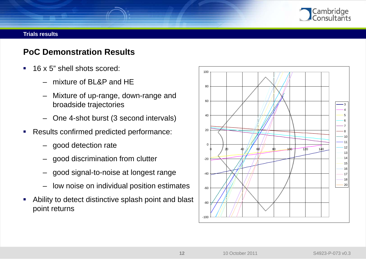

# **PoC Demonstration Results**

- 16 x 5" shell shots scored:
	- mixture of BL&P and HE
	- Mixture of up-range, down-range and broadside trajectories
	- One 4-shot burst (3 second intervals)
- **Results confirmed predicted performance:** 
	- good detection rate
	- good discrimination from clutter
	- good signal-to-noise at longest range
	- low noise on individual position estimates
- Ability to detect distinctive splash point and blast point returns

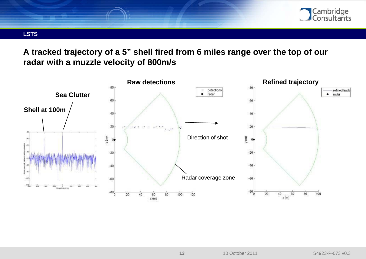

#### **LSTS**

**A tracked trajectory of a 5" shell fired from 6 miles range over the top of our radar with a muzzle velocity of 800m/s** 

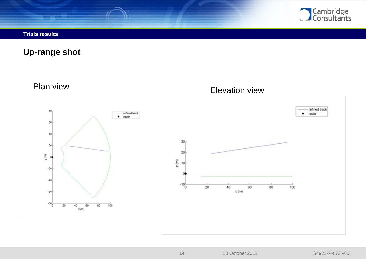

**Up-range shot**

Plan view

80

60

 $40<sub>1</sub>$ 

 $20\,$ 

 $-20$ 

 $-40$ 

 $-60$ 

 $-80$ 

20

40

 $x$  (m)

60

80

 $y$  (m)  $\alpha$ 

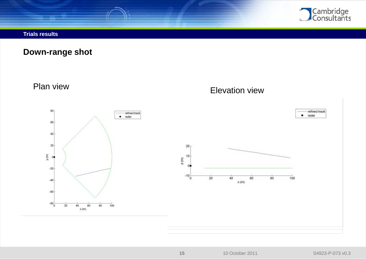

**Down-range shot**

Plan view

Elevation view

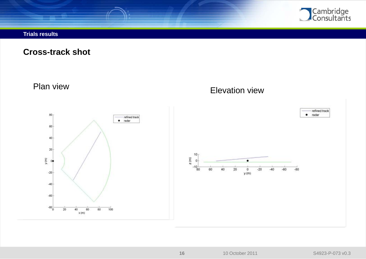

**Cross-track shot**

Plan view

80

60

40

 $20\,$ 

 $\theta$ 

 $-20$ 

 $-40$ 

 $-60$ 

 $-80^{-}_{0}$ 

 $20$ 

40

 $x(m)$ 

60

100

80

 $\mathbf{y}$  (m)

refined track  $\bullet$  radar  $10<sub>1</sub>$  $\mathbf{z}$  (m)  $\circ$ 

# Elevation view

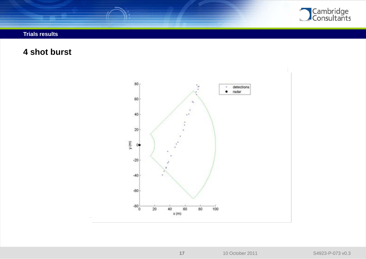

**4 shot burst**

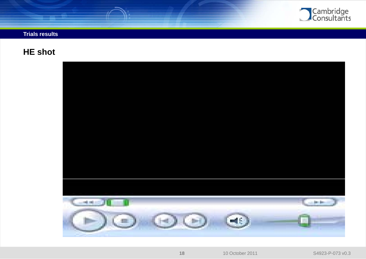

# **HE shot**

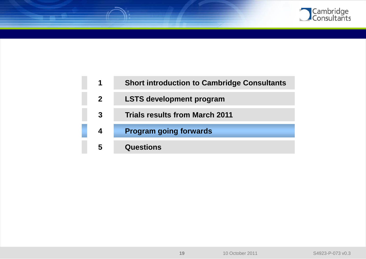

| 1              | <b>Short introduction to Cambridge Consultants</b> |
|----------------|----------------------------------------------------|
| 2 <sup>1</sup> | <b>LSTS development program</b>                    |
| 3              | <b>Trials results from March 2011</b>              |
| 4              | <b>Program going forwards</b>                      |
| 5              | <b>Questions</b>                                   |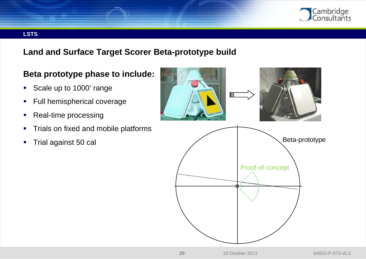

#### **LSTS**

# **Land and Surface Target Scorer Beta-prototype build**

# **Beta prototype phase to include:**

- Scale up to 1000' range
- **Full hemispherical coverage**
- Real-time processing
- **Trials on fixed and mobile platforms**
- **Trial against 50 cal**

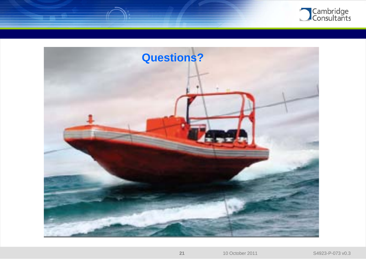